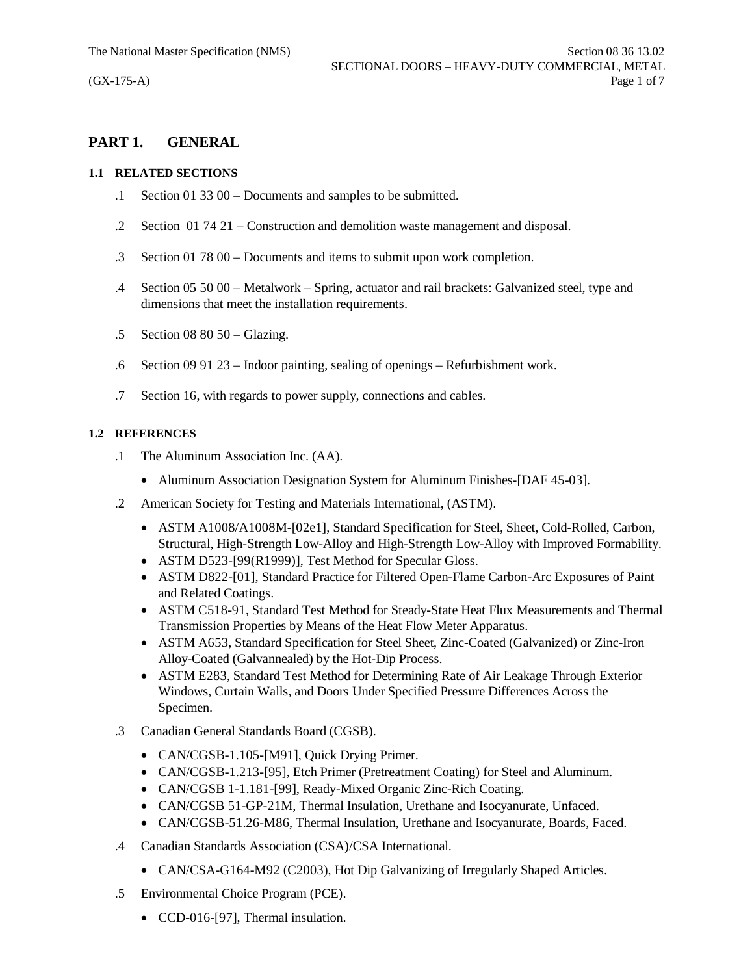# **PART 1. GENERAL**

#### **1.1 RELATED SECTIONS**

- .1 Section 01 33 00 Documents and samples to be submitted.
- .2 Section 01 74 21 Construction and demolition waste management and disposal.
- .3 Section 01 78 00 Documents and items to submit upon work completion.
- .4 Section 05 50 00 Metalwork Spring, actuator and rail brackets: Galvanized steel, type and dimensions that meet the installation requirements.
- .5 Section 08 80 50 Glazing.
- .6 Section 09 91 23 Indoor painting, sealing of openings Refurbishment work.
- .7 Section 16, with regards to power supply, connections and cables.

#### **1.2 REFERENCES**

- .1 The Aluminum Association Inc. (AA).
	- Aluminum Association Designation System for Aluminum Finishes-[DAF 45-03].
- .2 American Society for Testing and Materials International, (ASTM).
	- · ASTM A1008/A1008M-[02e1], Standard Specification for Steel, Sheet, Cold-Rolled, Carbon, Structural, High-Strength Low-Alloy and High-Strength Low-Alloy with Improved Formability.
	- ASTM D523-[99(R1999)], Test Method for Specular Gloss.
	- · ASTM D822-[01], Standard Practice for Filtered Open-Flame Carbon-Arc Exposures of Paint and Related Coatings.
	- · ASTM C518-91, Standard Test Method for Steady-State Heat Flux Measurements and Thermal Transmission Properties by Means of the Heat Flow Meter Apparatus.
	- · ASTM A653, Standard Specification for Steel Sheet, Zinc-Coated (Galvanized) or Zinc-Iron Alloy-Coated (Galvannealed) by the Hot-Dip Process.
	- · ASTM E283, Standard Test Method for Determining Rate of Air Leakage Through Exterior Windows, Curtain Walls, and Doors Under Specified Pressure Differences Across the Specimen.
- .3 Canadian General Standards Board (CGSB).
	- CAN/CGSB-1.105-[M91], Quick Drying Primer.
	- · CAN/CGSB-1.213-[95], Etch Primer (Pretreatment Coating) for Steel and Aluminum.
	- · CAN/CGSB 1-1.181-[99], Ready-Mixed Organic Zinc-Rich Coating.
	- · CAN/CGSB 51-GP-21M, Thermal Insulation, Urethane and Isocyanurate, Unfaced.
	- · CAN/CGSB-51.26-M86, Thermal Insulation, Urethane and Isocyanurate, Boards, Faced.
- .4 Canadian Standards Association (CSA)/CSA International.
	- CAN/CSA-G164-M92 (C2003), Hot Dip Galvanizing of Irregularly Shaped Articles.
- .5 Environmental Choice Program (PCE).
	- CCD-016-[97], Thermal insulation.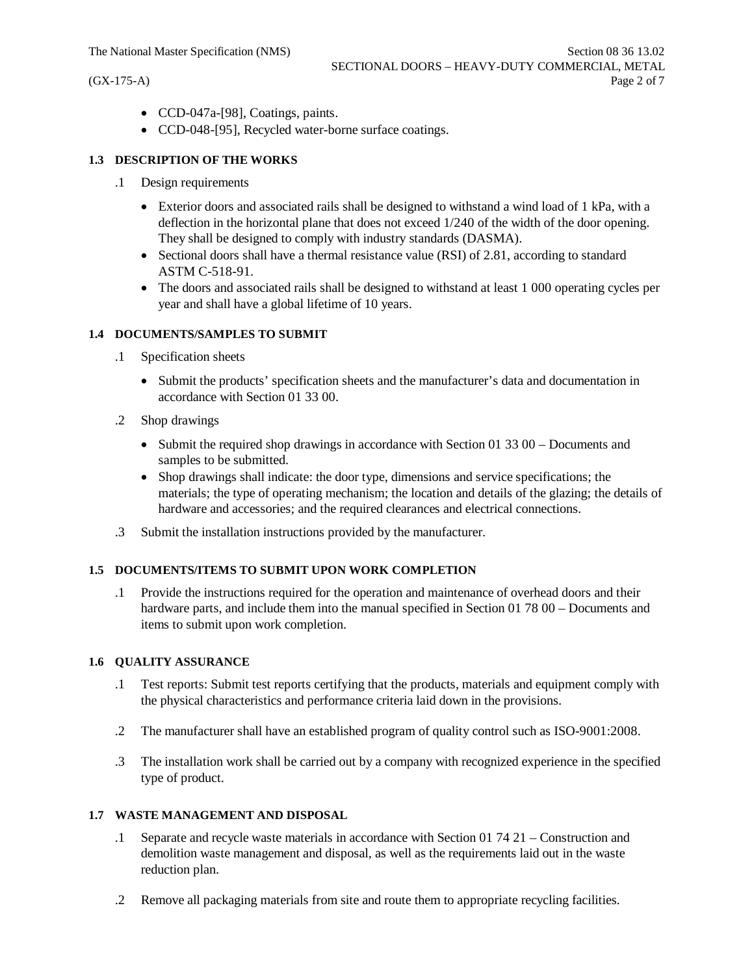- · CCD-047a-[98], Coatings, paints.
- · CCD-048-[95], Recycled water-borne surface coatings.

## **1.3 DESCRIPTION OF THE WORKS**

- .1 Design requirements
	- Exterior doors and associated rails shall be designed to withstand a wind load of 1 kPa, with a deflection in the horizontal plane that does not exceed 1/240 of the width of the door opening. They shall be designed to comply with industry standards (DASMA).
	- Sectional doors shall have a thermal resistance value (RSI) of 2.81, according to standard ASTM C-518-91.
	- The doors and associated rails shall be designed to withstand at least 1 000 operating cycles per year and shall have a global lifetime of 10 years.

## **1.4 DOCUMENTS/SAMPLES TO SUBMIT**

- .1 Specification sheets
	- · Submit the products' specification sheets and the manufacturer's data and documentation in accordance with Section 01 33 00.
- .2 Shop drawings
	- Submit the required shop drawings in accordance with Section 01 33 00 Documents and samples to be submitted.
	- · Shop drawings shall indicate: the door type, dimensions and service specifications; the materials; the type of operating mechanism; the location and details of the glazing; the details of hardware and accessories; and the required clearances and electrical connections.
- .3 Submit the installation instructions provided by the manufacturer.

#### **1.5 DOCUMENTS/ITEMS TO SUBMIT UPON WORK COMPLETION**

.1 Provide the instructions required for the operation and maintenance of overhead doors and their hardware parts, and include them into the manual specified in Section 01 78 00 – Documents and items to submit upon work completion.

#### **1.6 QUALITY ASSURANCE**

- .1 Test reports: Submit test reports certifying that the products, materials and equipment comply with the physical characteristics and performance criteria laid down in the provisions.
- .2 The manufacturer shall have an established program of quality control such as ISO-9001:2008.
- .3 The installation work shall be carried out by a company with recognized experience in the specified type of product.

#### **1.7 WASTE MANAGEMENT AND DISPOSAL**

- .1 Separate and recycle waste materials in accordance with Section 01 74 21 Construction and demolition waste management and disposal, as well as the requirements laid out in the waste reduction plan.
- .2 Remove all packaging materials from site and route them to appropriate recycling facilities.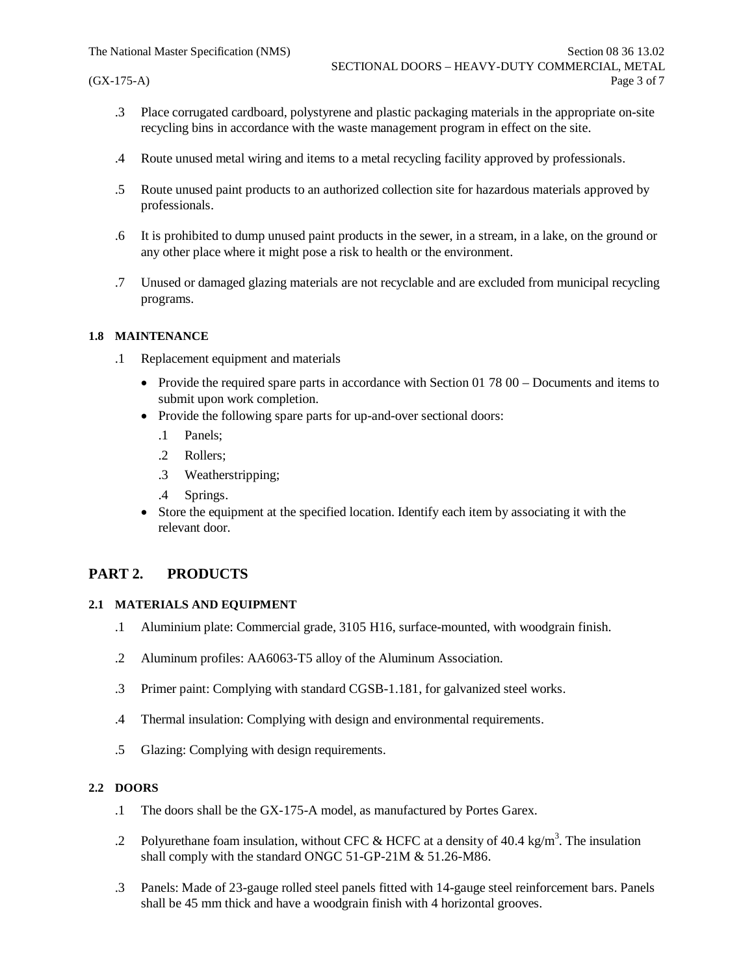- .3 Place corrugated cardboard, polystyrene and plastic packaging materials in the appropriate on-site recycling bins in accordance with the waste management program in effect on the site.
- .4 Route unused metal wiring and items to a metal recycling facility approved by professionals.
- .5 Route unused paint products to an authorized collection site for hazardous materials approved by professionals.
- .6 It is prohibited to dump unused paint products in the sewer, in a stream, in a lake, on the ground or any other place where it might pose a risk to health or the environment.
- .7 Unused or damaged glazing materials are not recyclable and are excluded from municipal recycling programs.

#### **1.8 MAINTENANCE**

- .1 Replacement equipment and materials
	- Provide the required spare parts in accordance with Section 01 78 00 Documents and items to submit upon work completion.
	- Provide the following spare parts for up-and-over sectional doors:
		- .1 Panels;
		- .2 Rollers;
		- .3 Weatherstripping;
		- .4 Springs.
	- Store the equipment at the specified location. Identify each item by associating it with the relevant door.

## **PART 2. PRODUCTS**

#### **2.1 MATERIALS AND EQUIPMENT**

- .1 Aluminium plate: Commercial grade, 3105 H16, surface-mounted, with woodgrain finish.
- .2 Aluminum profiles: AA6063-T5 alloy of the Aluminum Association.
- .3 Primer paint: Complying with standard CGSB-1.181, for galvanized steel works.
- .4 Thermal insulation: Complying with design and environmental requirements.
- .5 Glazing: Complying with design requirements.

#### **2.2 DOORS**

- .1 The doors shall be the GX-175-A model, as manufactured by Portes Garex.
- .2 Polyurethane foam insulation, without CFC & HCFC at a density of 40.4 kg/m<sup>3</sup>. The insulation shall comply with the standard ONGC 51-GP-21M & 51.26-M86.
- .3 Panels: Made of 23-gauge rolled steel panels fitted with 14-gauge steel reinforcement bars. Panels shall be 45 mm thick and have a woodgrain finish with 4 horizontal grooves.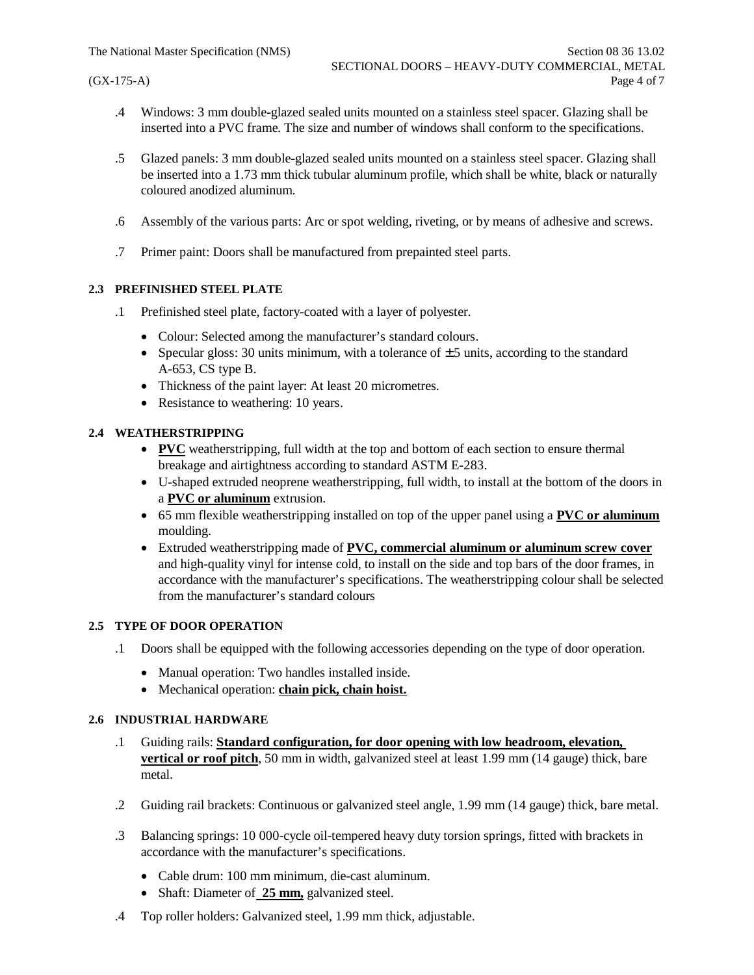- .4 Windows: 3 mm double-glazed sealed units mounted on a stainless steel spacer. Glazing shall be inserted into a PVC frame. The size and number of windows shall conform to the specifications.
- .5 Glazed panels: 3 mm double-glazed sealed units mounted on a stainless steel spacer. Glazing shall be inserted into a 1.73 mm thick tubular aluminum profile, which shall be white, black or naturally coloured anodized aluminum.
- .6 Assembly of the various parts: Arc or spot welding, riveting, or by means of adhesive and screws.
- .7 Primer paint: Doors shall be manufactured from prepainted steel parts.

#### **2.3 PREFINISHED STEEL PLATE**

- .1 Prefinished steel plate, factory-coated with a layer of polyester.
	- · Colour: Selected among the manufacturer's standard colours.
	- Specular gloss: 30 units minimum, with a tolerance of  $\pm$  5 units, according to the standard A-653, CS type B.
	- Thickness of the paint layer: At least 20 micrometres.
	- Resistance to weathering: 10 years.

## **2.4 WEATHERSTRIPPING**

- · **PVC** weatherstripping, full width at the top and bottom of each section to ensure thermal breakage and airtightness according to standard ASTM E-283.
- · U-shaped extruded neoprene weatherstripping, full width, to install at the bottom of the doors in a **PVC or aluminum** extrusion.
- · 65 mm flexible weatherstripping installed on top of the upper panel using a **PVC or aluminum** moulding.
- · Extruded weatherstripping made of **PVC, commercial aluminum or aluminum screw cover** and high-quality vinyl for intense cold, to install on the side and top bars of the door frames, in accordance with the manufacturer's specifications. The weatherstripping colour shall be selected from the manufacturer's standard colours

#### **2.5 TYPE OF DOOR OPERATION**

- .1 Doors shall be equipped with the following accessories depending on the type of door operation.
	- · Manual operation: Two handles installed inside.
	- · Mechanical operation: **chain pick, chain hoist.**

## **2.6 INDUSTRIAL HARDWARE**

- .1 Guiding rails: **Standard configuration, for door opening with low headroom, elevation, vertical or roof pitch**, 50 mm in width, galvanized steel at least 1.99 mm (14 gauge) thick, bare metal.
- .2 Guiding rail brackets: Continuous or galvanized steel angle, 1.99 mm (14 gauge) thick, bare metal.
- .3 Balancing springs: 10 000-cycle oil-tempered heavy duty torsion springs, fitted with brackets in accordance with the manufacturer's specifications.
	- · Cable drum: 100 mm minimum, die-cast aluminum.
	- · Shaft: Diameter of **25 mm,** galvanized steel.
- .4 Top roller holders: Galvanized steel, 1.99 mm thick, adjustable.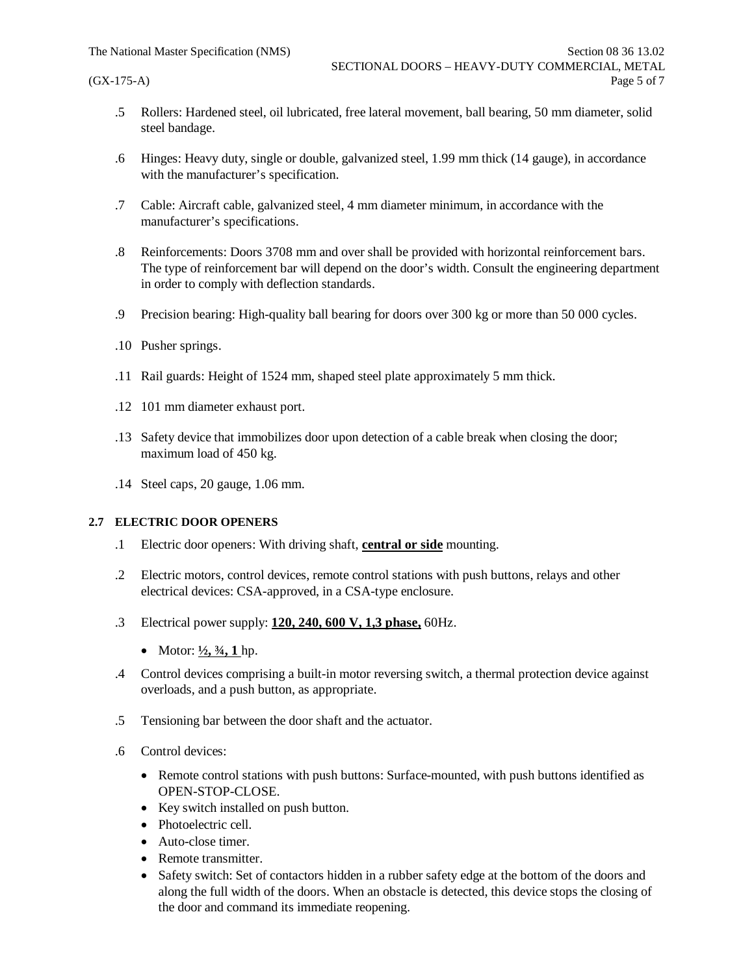- .5 Rollers: Hardened steel, oil lubricated, free lateral movement, ball bearing, 50 mm diameter, solid steel bandage.
- .6 Hinges: Heavy duty, single or double, galvanized steel, 1.99 mm thick (14 gauge), in accordance with the manufacturer's specification.
- .7 Cable: Aircraft cable, galvanized steel, 4 mm diameter minimum, in accordance with the manufacturer's specifications.
- .8 Reinforcements: Doors 3708 mm and over shall be provided with horizontal reinforcement bars. The type of reinforcement bar will depend on the door's width. Consult the engineering department in order to comply with deflection standards.
- .9 Precision bearing: High-quality ball bearing for doors over 300 kg or more than 50 000 cycles.
- .10 Pusher springs.
- .11 Rail guards: Height of 1524 mm, shaped steel plate approximately 5 mm thick.
- .12 101 mm diameter exhaust port.
- .13 Safety device that immobilizes door upon detection of a cable break when closing the door; maximum load of 450 kg.
- .14 Steel caps, 20 gauge, 1.06 mm.

#### **2.7 ELECTRIC DOOR OPENERS**

- .1 Electric door openers: With driving shaft, **central or side** mounting.
- .2 Electric motors, control devices, remote control stations with push buttons, relays and other electrical devices: CSA-approved, in a CSA-type enclosure.
- .3 Electrical power supply: **120, 240, 600 V, 1,3 phase,** 60Hz.
	- Motor:  $\frac{1}{2}$ ,  $\frac{3}{4}$ , 1 hp.
- .4 Control devices comprising a built-in motor reversing switch, a thermal protection device against overloads, and a push button, as appropriate.
- .5 Tensioning bar between the door shaft and the actuator.
- .6 Control devices:
	- · Remote control stations with push buttons: Surface-mounted, with push buttons identified as OPEN-STOP-CLOSE.
	- Key switch installed on push button.
	- Photoelectric cell.
	- Auto-close timer.
	- · Remote transmitter.
	- Safety switch: Set of contactors hidden in a rubber safety edge at the bottom of the doors and along the full width of the doors. When an obstacle is detected, this device stops the closing of the door and command its immediate reopening.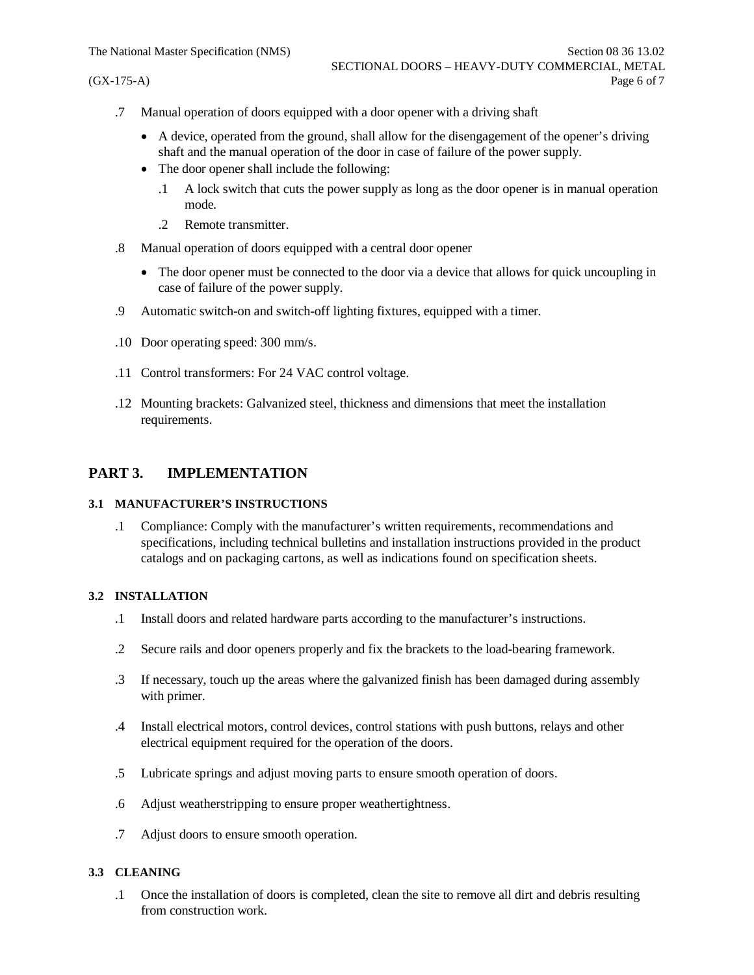- .7 Manual operation of doors equipped with a door opener with a driving shaft
	- · A device, operated from the ground, shall allow for the disengagement of the opener's driving shaft and the manual operation of the door in case of failure of the power supply.
	- The door opener shall include the following:
		- .1 A lock switch that cuts the power supply as long as the door opener is in manual operation mode.
		- .2 Remote transmitter.
- .8 Manual operation of doors equipped with a central door opener
	- The door opener must be connected to the door via a device that allows for quick uncoupling in case of failure of the power supply.
- .9 Automatic switch-on and switch-off lighting fixtures, equipped with a timer.
- .10 Door operating speed: 300 mm/s.
- .11 Control transformers: For 24 VAC control voltage.
- .12 Mounting brackets: Galvanized steel, thickness and dimensions that meet the installation requirements.

# **PART 3. IMPLEMENTATION**

#### **3.1 MANUFACTURER'S INSTRUCTIONS**

.1 Compliance: Comply with the manufacturer's written requirements, recommendations and specifications, including technical bulletins and installation instructions provided in the product catalogs and on packaging cartons, as well as indications found on specification sheets.

#### **3.2 INSTALLATION**

- .1 Install doors and related hardware parts according to the manufacturer's instructions.
- .2 Secure rails and door openers properly and fix the brackets to the load-bearing framework.
- .3 If necessary, touch up the areas where the galvanized finish has been damaged during assembly with primer.
- .4 Install electrical motors, control devices, control stations with push buttons, relays and other electrical equipment required for the operation of the doors.
- .5 Lubricate springs and adjust moving parts to ensure smooth operation of doors.
- .6 Adjust weatherstripping to ensure proper weathertightness.
- .7 Adjust doors to ensure smooth operation.

#### **3.3 CLEANING**

.1 Once the installation of doors is completed, clean the site to remove all dirt and debris resulting from construction work.